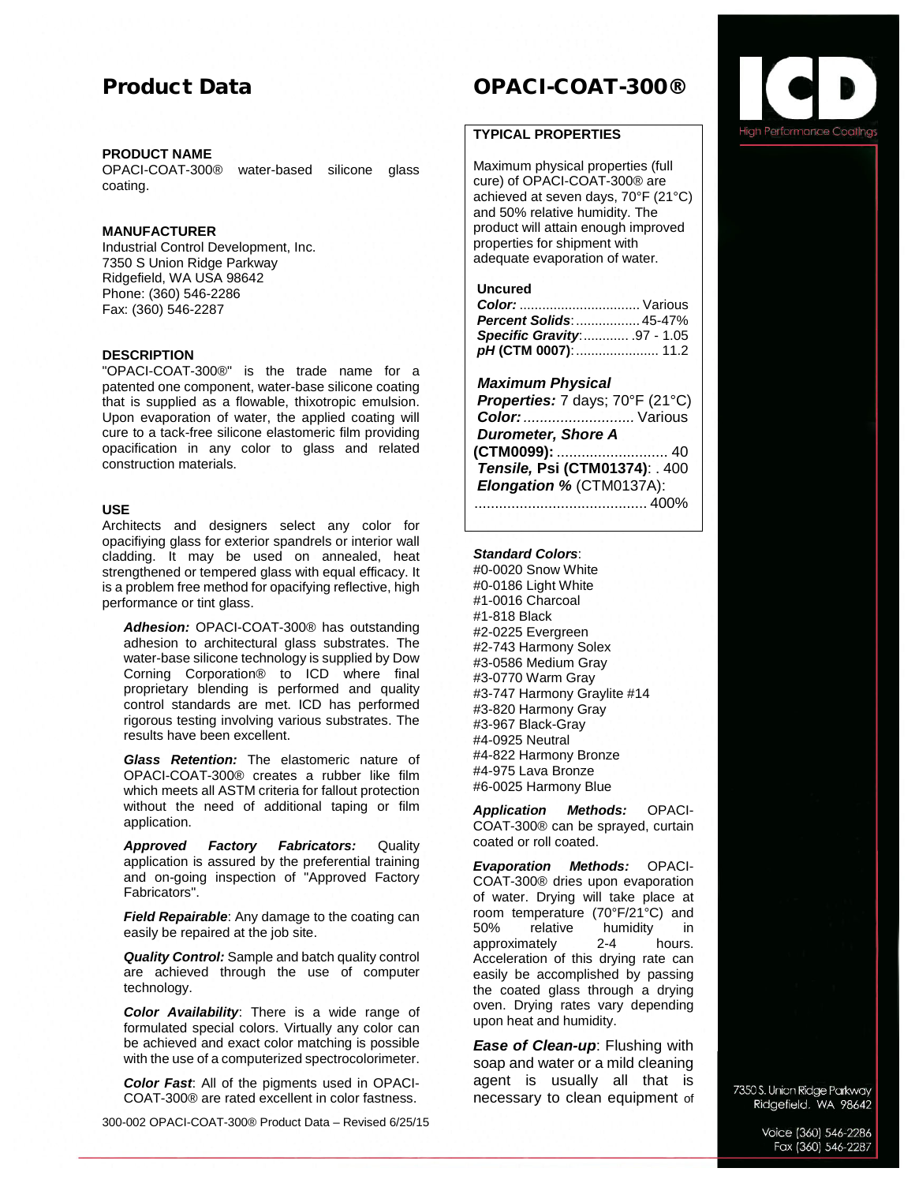# Product Data

## **PRODUCT NAME**

OPACI-COAT-300® water-based silicone glass coating.

# **MANUFACTURER**

Industrial Control Development, Inc. 7350 S Union Ridge Parkway Ridgefield, WA USA 98642 Phone: (360) 546-2286 Fax: (360) 546-2287

# **DESCRIPTION**

"OPACI-COAT-300®" is the trade name for a patented one component, water-base silicone coating that is supplied as a flowable, thixotropic emulsion. Upon evaporation of water, the applied coating will cure to a tack-free silicone elastomeric film providing opacification in any color to glass and related construction materials.

# **USE**

Architects and designers select any color for opacifiying glass for exterior spandrels or interior wall cladding. It may be used on annealed, heat strengthened or tempered glass with equal efficacy. It is a problem free method for opacifying reflective, high performance or tint glass.

*Adhesion:* OPACI-COAT-300® has outstanding adhesion to architectural glass substrates. The water-base silicone technology is supplied by Dow Corning Corporation® to ICD where final proprietary blending is performed and quality control standards are met. ICD has performed rigorous testing involving various substrates. The results have been excellent.

*Glass Retention:* The elastomeric nature of OPACI-COAT-300® creates a rubber like film which meets all ASTM criteria for fallout protection without the need of additional taping or film application.

*Approved Factory Fabricators:* Quality application is assured by the preferential training and on-going inspection of "Approved Factory Fabricators".

*Field Repairable*: Any damage to the coating can easily be repaired at the job site.

*Quality Control:* Sample and batch quality control are achieved through the use of computer technology.

*Color Availability*: There is a wide range of formulated special colors. Virtually any color can be achieved and exact color matching is possible with the use of a computerized spectrocolorimeter.

*Color Fast*: All of the pigments used in OPACI-COAT-300® are rated excellent in color fastness.

300-002 OPACI-COAT-300® Product Data – Revised 6/25/15

# OPACI-COAT-300®

# **TYPICAL PROPERTIES**

Maximum physical properties (full cure) of OPACI-COAT-300® are achieved at seven days, 70°F (21°C) and 50% relative humidity. The product will attain enough improved properties for shipment with adequate evaporation of water.

#### **Uncured**

| <b>Percent Solids:  45-47%</b> |  |
|--------------------------------|--|
| Specific Gravity 97 - 1.05     |  |
|                                |  |

### *Maximum Physical*

| Properties: 7 days; 70°F (21°C) |               |
|---------------------------------|---------------|
| Color:  Various                 |               |
| <b>Durometer, Shore A</b>       |               |
| (CTM0099):  40                  |               |
| Tensile, Psi (CTM01374): . 400  |               |
| Elongation % (CTM0137A):        |               |
|                                 | $\ldots$ 400% |
|                                 |               |

### *Standard Colors*:

#0-0020 Snow White #0-0186 Light White #1-0016 Charcoal #1-818 Black #2-0225 Evergreen #2-743 Harmony Solex #3-0586 Medium Gray #3-0770 Warm Gray #3-747 Harmony Graylite #14 #3-820 Harmony Gray #3-967 Black-Gray #4-0925 Neutral #4-822 Harmony Bronze #4-975 Lava Bronze #6-0025 Harmony Blue

*Application Methods:* OPACI-COAT-300® can be sprayed, curtain coated or roll coated.

*Evaporation Methods:* OPACI-COAT-300® dries upon evaporation of water. Drying will take place at room temperature (70°F/21°C) and<br>50% relative humidity in relative humidity in<br>
1992-4 hours. approximately Acceleration of this drying rate can easily be accomplished by passing the coated glass through a drying oven. Drying rates vary depending upon heat and humidity.

*Ease of Clean-up*: Flushing with soap and water or a mild cleaning agent is usually all that is necessary to clean equipment of

7350 S. Union Ridge Parkway Ridgefield, WA 98642

> Voice (360) 546-2286 Fax (360) 546-2287